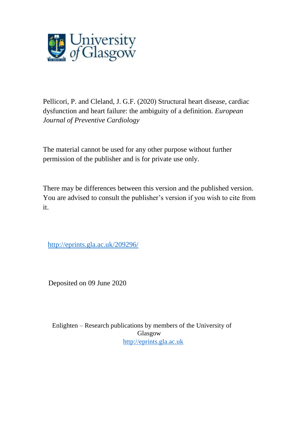

Pellicori, P. and Cleland, J. G.F. (2020) Structural heart disease, cardiac dysfunction and heart failure: the ambiguity of a definition. *European Journal of Preventive Cardiology*

The material cannot be used for any other purpose without further permission of the publisher and is for private use only.

There may be differences between this version and the published version. You are advised to consult the publisher's version if you wish to cite from it.

<http://eprints.gla.ac.uk/209296/>

Deposited on 09 June 2020

Enlighten – Research publications by members of the University of Glasgow [http://eprints.gla.ac.uk](http://eprints.gla.ac.uk/)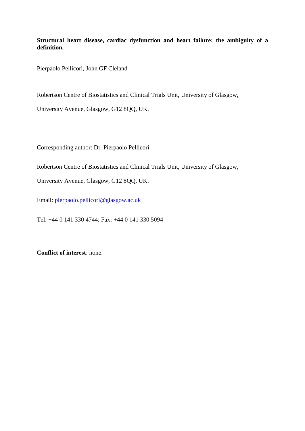**Structural heart disease, cardiac dysfunction and heart failure: the ambiguity of a definition.** 

Pierpaolo Pellicori, John GF Cleland

Robertson Centre of Biostatistics and Clinical Trials Unit, University of Glasgow,

University Avenue, Glasgow, G12 8QQ, UK.

Corresponding author: Dr. Pierpaolo Pellicori

Robertson Centre of Biostatistics and Clinical Trials Unit, University of Glasgow,

University Avenue, Glasgow, G12 8QQ, UK.

Email: [pierpaolo.pellicori@glasgow.ac.uk](mailto:pierpaolo.pellicori@glasgow.ac.uk)

Tel: +44 0 141 330 4744; Fax: +44 0 141 330 5094

**Conflict of interest**: none.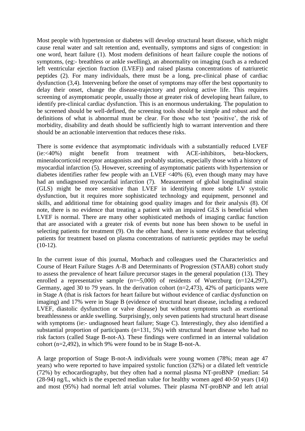Most people with hypertension or diabetes will develop structural heart disease, which might cause renal water and salt retention and, eventually, symptoms and signs of congestion: in one word, heart failure (1). Most modern definitions of heart failure couple the notions of symptoms, (eg:- breathless or ankle swelling), an abnormality on imaging (such as a reduced left ventricular ejection fraction (LVEF)) and raised plasma concentrations of natriuretic peptides (2). For many individuals, there must be a long, pre-clinical phase of cardiac dysfunction (3,4). Intervening before the onset of symptoms may offer the best opportunity to delay their onset, change the disease-trajectory and prolong active life. This requires screening of asymptomatic people, usually those at greater risk of developing heart failure, to identify pre-clinical cardiac dysfunction. This is an enormous undertaking. The population to be screened should be well-defined, the screening tools should be simple and robust and the definitions of what is abnormal must be clear. For those who test 'positive', the risk of morbidity, disability and death should be sufficiently high to warrant intervention and there should be an actionable intervention that reduces these risks.

There is some evidence that asymptomatic individuals with a substantially reduced LVEF (ie:<40%) might benefit from treatment with ACE-inhibitors, beta-blockers, mineralocorticoid receptor antagonists and probably statins, especially those with a history of myocardial infarction (5). However, screening of asymptomatic patients with hypertension or diabetes identifies rather few people with an LVEF <40% (6), even though many may have had an undiagnosed myocardial infarction (7). Measurement of global longitudinal strain (GLS) might be more sensitive than LVEF in identifying more subtle LV systolic dysfunction, but it requires more sophisticated technology and equipment, personnel and skills, and additional time for obtaining good quality images and for their analysis (8). Of note, there is no evidence that treating a patient with an impaired GLS is beneficial when LVEF is normal. There are many other sophisticated methods of imaging cardiac function that are associated with a greater risk of events but none has been shown to be useful in selecting patients for treatment (9). On the other hand, there is some evidence that selecting patients for treatment based on plasma concentrations of natriuretic peptides may be useful  $(10-12)$ .

In the current issue of this journal, Morbach and colleagues used the Characteristics and Course of Heart Failure Stages A-B and Determinants of Progression (STAAB) cohort study to assess the prevalence of heart failure precursor stages in the general population (13). They enrolled a representative sample  $(n=-5,000)$  of residents of Wuerzburg  $(n=124,297)$ , Germany, aged 30 to 79 years. In the derivation cohort (n=2,473), 42% of participants were in Stage A (that is risk factors for heart failure but without evidence of cardiac dysfunction on imaging) and 17% were in Stage B (evidence of structural heart disease, including a reduced LVEF, diastolic dysfunction or valve disease) but without symptoms such as exertional breathlessness or ankle swelling. Surprisingly, only seven patients had structural heart disease with symptoms (ie:- undiagnosed heart failure; Stage C). Interestingly, they also identified a substantial proportion of participants (n=131, 5%) with structural heart disease who had no risk factors (called Stage B-not-A). These findings were confirmed in an internal validation cohort (n=2,492), in which 9% were found to be in Stage B-not-A.

A large proportion of Stage B-not-A individuals were young women (78%; mean age 47 years) who were reported to have impaired systolic function (32%) or a dilated left ventricle (72%) by echocardiography, but they often had a normal plasma NT-proBNP (median: 54 (28-94) ng/L, which is the expected median value for healthy women aged 40-50 years (14)) and most (95%) had normal left atrial volumes. Their plasma NT-proBNP and left atrial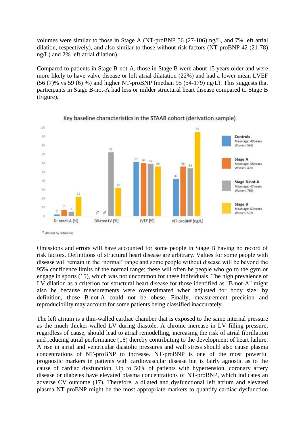volumes were similar to those in Stage A (NT-proBNP 56 (27-106) ng/L, and 7% left atrial dilation, respectively), and also similar to those without risk factors (NT-proBNP 42 (21-78) ng/L) and 2% left atrial dilation).

Compared to patients in Stage B-not-A, those in Stage B were about 15 years older and were more likely to have valve disease or left atrial dilatation (22%) and had a lower mean LVEF  $(56 (7)$ % vs 59  $(6)$ %) and higher NT-proBNP (median 95  $(54-179)$  ng/L). This suggests that participants in Stage B-not-A had less or milder structural heart disease compared to Stage B (Figure).





Omissions and errors will have accounted for some people in Stage B having no record of risk factors. Definitions of structural heart disease are arbitrary. Values for some people with disease will remain in the 'normal' range and some people without disease will be beyond the 95% confidence limits of the normal range; these will often be people who go to the gym or engage in sports (15), which was not uncommon for these individuals. The high prevalence of LV dilation as a criterion for structural heart disease for those identified as "B-not-A" might also be because measurements were overestimated when adjusted for body size: by definition, those B-not-A could not be obese. Finally, measurement precision and reproducibility may account for some patients being classified inaccurately.

The left atrium is a thin-walled cardiac chamber that is exposed to the same internal pressure as the much thicker-walled LV during diastole. A chronic increase in LV filling pressure, regardless of cause, should lead to atrial remodelling, increasing the risk of atrial fibrillation and reducing atrial performance (16) thereby contributing to the development of heart failure. A rise in atrial and ventricular diastolic pressures and wall stress should also cause plasma concentrations of NT-proBNP to increase. NT-proBNP is one of the most powerful prognostic markers in patients with cardiovascular disease but is fairly agnostic as to the cause of cardiac dysfunction. Up to 50% of patients with hypertension, coronary artery disease or diabetes have elevated plasma concentrations of NT-proBNP, which indicates an adverse CV outcome (17). Therefore, a dilated and dysfunctional left atrium and elevated plasma NT-proBNP might be the most appropriate markers to quantify cardiac dysfunction

<sup>\*</sup> Absent by definition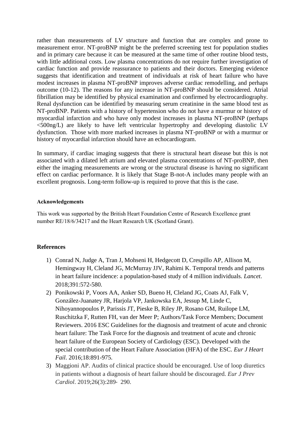rather than measurements of LV structure and function that are complex and prone to measurement error. NT-proBNP might be the preferred screening test for population studies and in primary care because it can be measured at the same time of other routine blood tests, with little additional costs. Low plasma concentrations do not require further investigation of cardiac function and provide reassurance to patients and their doctors. Emerging evidence suggests that identification and treatment of individuals at risk of heart failure who have modest increases in plasma NT-proBNP improves adverse cardiac remodelling, and perhaps outcome (10-12). The reasons for any increase in NT-proBNP should be considered. Atrial fibrillation may be identified by physical examination and confirmed by electrocardiography. Renal dysfunction can be identified by measuring serum creatinine in the same blood test as NT-proBNP. Patients with a history of hypertension who do not have a murmur or history of myocardial infarction and who have only modest increases in plasma NT-proBNP (perhaps  $\leq$ 500ng/L) are likely to have left ventricular hypertrophy and developing diastolic LV dysfunction. Those with more marked increases in plasma NT-proBNP or with a murmur or history of myocardial infarction should have an echocardiogram.

In summary, if cardiac imaging suggests that there is structural heart disease but this is not associated with a dilated left atrium and elevated plasma concentrations of NT-proBNP, then either the imaging measurements are wrong or the structural disease is having no significant effect on cardiac performance. It is likely that Stage B-not-A includes many people with an excellent prognosis. Long-term follow-up is required to prove that this is the case.

## **Acknowledgements**

This work was supported by the British Heart Foundation Centre of Research Excellence grant number RE/18/6/34217 and the Heart Research UK (Scotland Grant).

## **References**

- 1) Conrad N, Judge A, Tran J, Mohseni H, Hedgecott D, Crespillo AP, Allison M, Hemingway H, Cleland JG, McMurray JJV, Rahimi K. [Temporal trends and patterns](https://www.ncbi.nlm.nih.gov/pubmed/29174292)  [in heart failure incidence: a population-based study of 4 million individuals.](https://www.ncbi.nlm.nih.gov/pubmed/29174292) *Lancet*. 2018;391:572-580.
- 2) Ponikowski P, Voors AA, Anker SD, Bueno H, Cleland JG, Coats AJ, Falk V, González-Juanatey JR, Harjola VP, Jankowska EA, Jessup M, Linde C, Nihoyannopoulos P, Parissis JT, Pieske B, Riley JP, Rosano GM, Ruilope LM, Ruschitzka F, Rutten FH, van der Meer P; Authors/Task Force Members; Document Reviewers. [2016 ESC Guidelines for the diagnosis and treatment of acute and chronic](https://www.ncbi.nlm.nih.gov/pubmed/27207191)  [heart failure: The Task Force for the diagnosis and treatment of acute and chronic](https://www.ncbi.nlm.nih.gov/pubmed/27207191)  [heart failure of the European Society of Cardiology \(ESC\). Developed with the](https://www.ncbi.nlm.nih.gov/pubmed/27207191)  [special contribution of the Heart Failure Association \(HFA\) of the ESC.](https://www.ncbi.nlm.nih.gov/pubmed/27207191) *Eur J Heart Fail*. 2016;18:891-975.
- 3) Maggioni AP. Audits of clinical practice should be encouraged. Use of loop diuretics in patients without a diagnosis of heart failure should be discouraged. *Eur J Prev Cardiol*. 2019;26(3):289‐ 290.